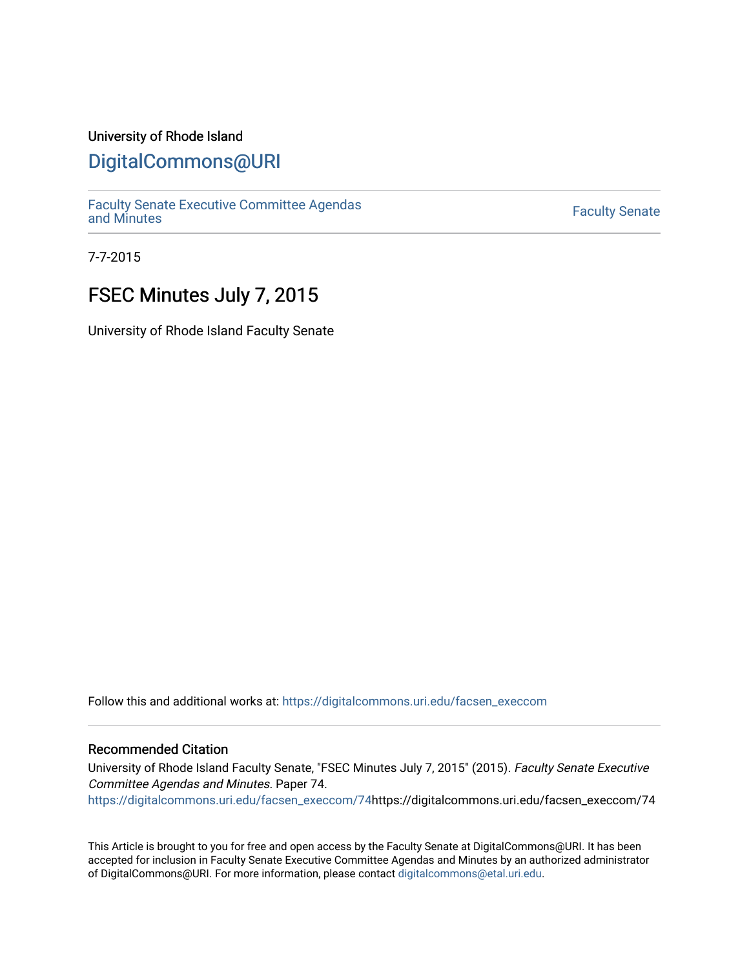## University of Rhode Island

# [DigitalCommons@URI](https://digitalcommons.uri.edu/)

[Faculty Senate Executive Committee Agendas](https://digitalcommons.uri.edu/facsen_execcom)  [and Minutes](https://digitalcommons.uri.edu/facsen_execcom) [Faculty Senate](https://digitalcommons.uri.edu/facsen) 

7-7-2015

# FSEC Minutes July 7, 2015

University of Rhode Island Faculty Senate

Follow this and additional works at: [https://digitalcommons.uri.edu/facsen\\_execcom](https://digitalcommons.uri.edu/facsen_execcom?utm_source=digitalcommons.uri.edu%2Ffacsen_execcom%2F74&utm_medium=PDF&utm_campaign=PDFCoverPages) 

#### Recommended Citation

University of Rhode Island Faculty Senate, "FSEC Minutes July 7, 2015" (2015). Faculty Senate Executive Committee Agendas and Minutes. Paper 74. [https://digitalcommons.uri.edu/facsen\\_execcom/74h](https://digitalcommons.uri.edu/facsen_execcom/74?utm_source=digitalcommons.uri.edu%2Ffacsen_execcom%2F74&utm_medium=PDF&utm_campaign=PDFCoverPages)ttps://digitalcommons.uri.edu/facsen\_execcom/74

This Article is brought to you for free and open access by the Faculty Senate at DigitalCommons@URI. It has been accepted for inclusion in Faculty Senate Executive Committee Agendas and Minutes by an authorized administrator of DigitalCommons@URI. For more information, please contact [digitalcommons@etal.uri.edu](mailto:digitalcommons@etal.uri.edu).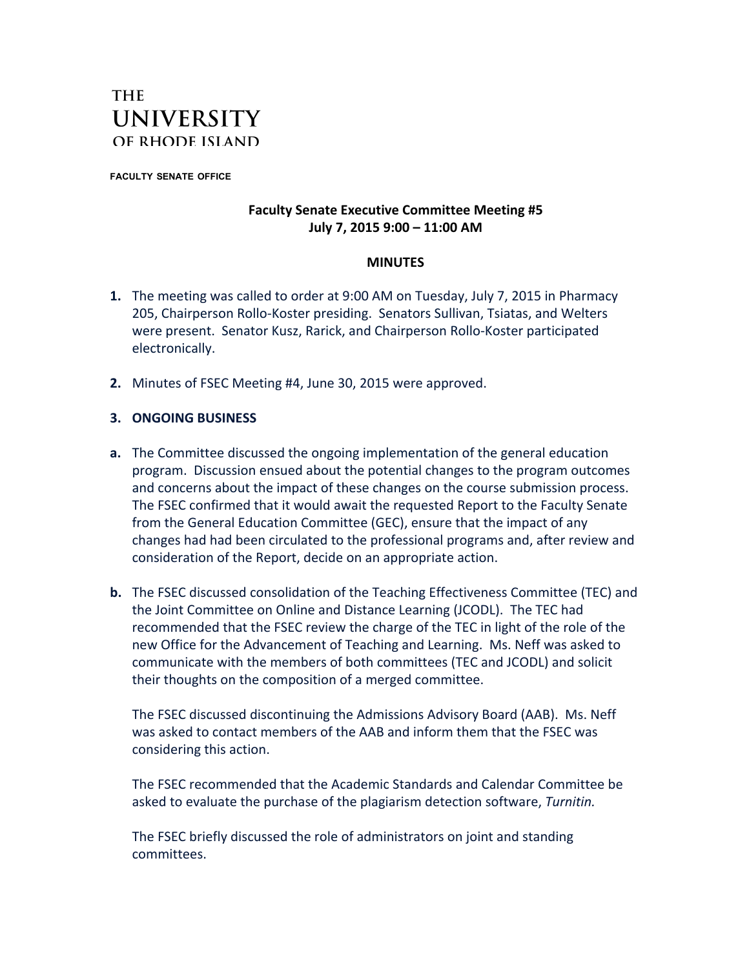# **THE UNIVERSITY** OF RHODE ISLAND

**FACULTY SENATE OFFICE**

### **Faculty Senate Executive Committee Meeting #5 July 7, 2015 9:00 – 11:00 AM**

#### **MINUTES**

- **1.** The meeting was called to order at 9:00 AM on Tuesday, July 7, 2015 in Pharmacy 205, Chairperson Rollo-Koster presiding. Senators Sullivan, Tsiatas, and Welters were present. Senator Kusz, Rarick, and Chairperson Rollo-Koster participated electronically.
- **2.** Minutes of FSEC Meeting #4, June 30, 2015 were approved.

### **3. ONGOING BUSINESS**

- **a.** The Committee discussed the ongoing implementation of the general education program. Discussion ensued about the potential changes to the program outcomes and concerns about the impact of these changes on the course submission process. The FSEC confirmed that it would await the requested Report to the Faculty Senate from the General Education Committee (GEC), ensure that the impact of any changes had had been circulated to the professional programs and, after review and consideration of the Report, decide on an appropriate action.
- **b.** The FSEC discussed consolidation of the Teaching Effectiveness Committee (TEC) and the Joint Committee on Online and Distance Learning (JCODL). The TEC had recommended that the FSEC review the charge of the TEC in light of the role of the new Office for the Advancement of Teaching and Learning. Ms. Neff was asked to communicate with the members of both committees (TEC and JCODL) and solicit their thoughts on the composition of a merged committee.

The FSEC discussed discontinuing the Admissions Advisory Board (AAB). Ms. Neff was asked to contact members of the AAB and inform them that the FSEC was considering this action.

The FSEC recommended that the Academic Standards and Calendar Committee be asked to evaluate the purchase of the plagiarism detection software, *Turnitin.*

The FSEC briefly discussed the role of administrators on joint and standing committees.